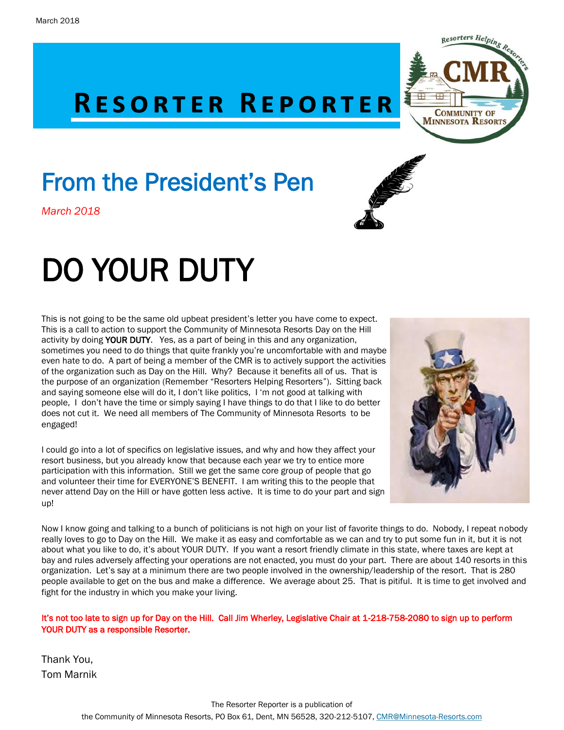## **RESORTER REPORTER**

## From the President's Pen

*March 2018*

# DO YOUR DUTY

This is not going to be the same old upbeat president's letter you have come to expect. This is a call to action to support the Community of Minnesota Resorts Day on the Hill activity by doing YOUR DUTY. Yes, as a part of being in this and any organization, sometimes you need to do things that quite frankly you're uncomfortable with and maybe even hate to do. A part of being a member of the CMR is to actively support the activities of the organization such as Day on the Hill. Why? Because it benefits all of us. That is the purpose of an organization (Remember "Resorters Helping Resorters"). Sitting back and saying someone else will do it, I don't like politics, I 'm not good at talking with people, I don't have the time or simply saying I have things to do that I like to do better does not cut it. We need all members of The Community of Minnesota Resorts to be engaged!

I could go into a lot of specifics on legislative issues, and why and how they affect your resort business, but you already know that because each year we try to entice more participation with this information. Still we get the same core group of people that go and volunteer their time for EVERYONE'S BENEFIT. I am writing this to the people that never attend Day on the Hill or have gotten less active. It is time to do your part and sign up!

Now I know going and talking to a bunch of politicians is not high on your list of favorite things to do. Nobody, I repeat nobody really loves to go to Day on the Hill. We make it as easy and comfortable as we can and try to put some fun in it, but it is not about what you like to do, it's about YOUR DUTY. If you want a resort friendly climate in this state, where taxes are kept at bay and rules adversely affecting your operations are not enacted, you must do your part. There are about 140 resorts in this organization. Let's say at a minimum there are two people involved in the ownership/leadership of the resort. That is 280 people available to get on the bus and make a difference. We average about 25. That is pitiful. It is time to get involved and fight for the industry in which you make your living.

#### It's not too late to sign up for Day on the Hill. Call Jim Wherley, Legislative Chair at 1-218-758-2080 to sign up to perform YOUR DUTY as a responsible Resorter.

Thank You, Tom Marnik





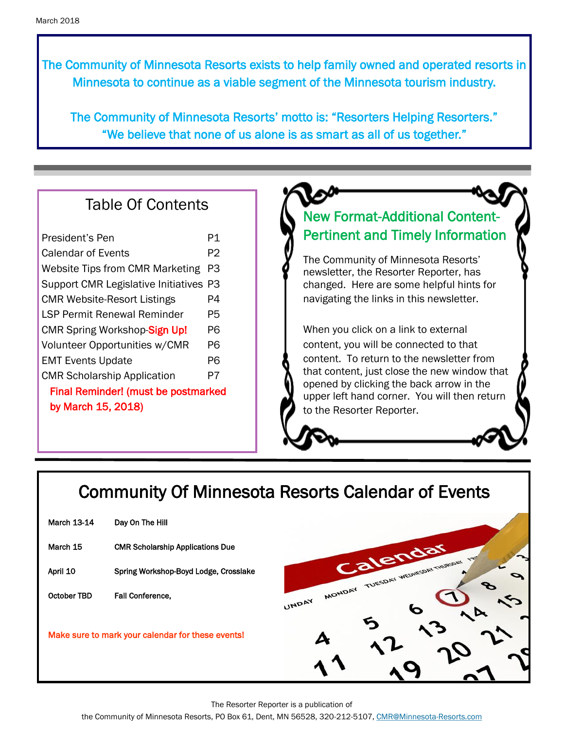The Community of Minnesota Resorts exists to help family owned and operated resorts in Minnesota to continue as a viable segment of the Minnesota tourism industry.

The Community of Minnesota Resorts' motto is: "Resorters Helping Resorters." "We believe that none of us alone is as smart as all of us together."

### Table Of Contents

| President's Pen                            | P1 |  |
|--------------------------------------------|----|--|
| <b>Calendar of Events</b>                  | P2 |  |
| <b>Website Tips from CMR Marketing</b>     | PЗ |  |
| Support CMR Legislative Initiatives P3     |    |  |
| <b>CMR Website-Resort Listings</b>         | P4 |  |
| LSP Permit Renewal Reminder                | P5 |  |
| CMR Spring Workshop-Sign Up!               | P6 |  |
| Volunteer Opportunities w/CMR              | P6 |  |
| <b>EMT Events Update</b>                   | P6 |  |
| <b>CMR Scholarship Application</b>         | P7 |  |
| <b>Final Reminder! (must be postmarked</b> |    |  |
| by March 15, 2018)                         |    |  |
|                                            |    |  |

### New Format-Additional Content-Pertinent and Timely Information

The Community of Minnesota Resorts' newsletter, the Resorter Reporter, has changed. Here are some helpful hints for navigating the links in this newsletter.

When you click on a link to external content, you will be connected to that content. To return to the newsletter from that content, just close the new window that opened by clicking the back arrow in the upper left hand corner. You will then return to the Resorter Reporter.

### Community Of Minnesota Resorts Calendar of Events

| March 13-14 | Day On The Hill                         |
|-------------|-----------------------------------------|
| March 15    | <b>CMR Scholarship Applications Due</b> |
| April 10    | Spring Workshop-Boyd Lodge, Crosslake   |
| October TBD | <b>Fall Conference,</b>                 |

Make sure to mark your calendar for these events!



The Resorter Reporter is a publication of

the Community of Minnesota Resorts, PO Box 61, Dent, MN 56528, 320-212-5107, [CMR@Minnesota-Resorts.com](mailto:CMR@Minnesota-Resorts.com?subject=Community%20of%20Minnesota%20Resorts)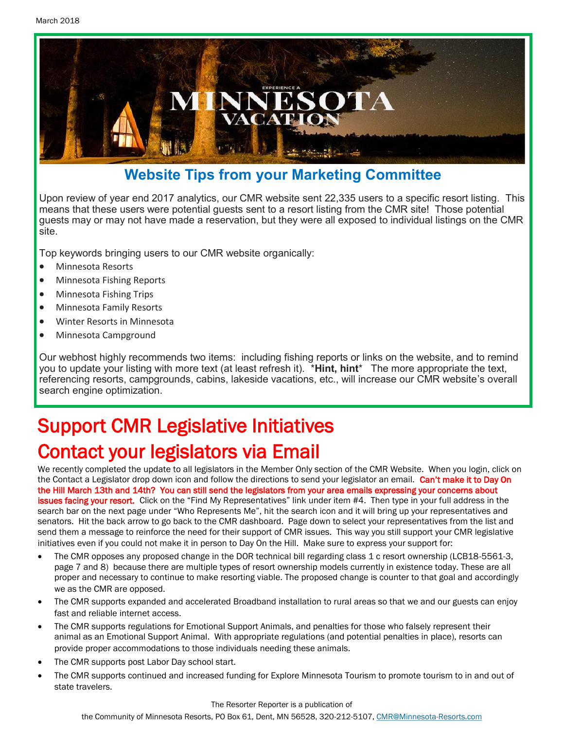

### **Website Tips from your Marketing Committee**

Upon review of year end 2017 analytics, our CMR website sent 22,335 users to a specific resort listing. This means that these users were potential guests sent to a resort listing from the CMR site! Those potential guests may or may not have made a reservation, but they were all exposed to individual listings on the CMR site.

Top keywords bringing users to our CMR website organically:

- Minnesota Resorts
- Minnesota Fishing Reports
- Minnesota Fishing Trips
- Minnesota Family Resorts
- Winter Resorts in Minnesota
- Minnesota Campground

Our webhost highly recommends two items: including fishing reports or links on the website, and to remind you to update your listing with more text (at least refresh it). \***Hint, hint**\* The more appropriate the text, referencing resorts, campgrounds, cabins, lakeside vacations, etc., will increase our CMR website's overall search engine optimization.

## Support CMR Legislative Initiatives Contact your legislators via Email

We recently completed the update to all legislators in the Member Only section of the CMR Website. When you login, click on the Contact a Legislator drop down icon and follow the directions to send your legislator an email. Can't make it to Day On the Hill March 13th and 14th? You can still send the legislators from your area emails expressing your concerns about issues facing your resort. Click on the "Find My Representatives" link under item #4. Then type in your full address in the search bar on the next page under "Who Represents Me", hit the search icon and it will bring up your representatives and senators. Hit the back arrow to go back to the CMR dashboard. Page down to select your representatives from the list and send them a message to reinforce the need for their support of CMR issues. This way you still support your CMR legislative initiatives even if you could not make it in person to Day On the Hill. Make sure to express your support for:

- The CMR opposes any proposed change in the DOR technical bill regarding class 1 c resort ownership (LCB18-5561-3, page 7 and 8) because there are multiple types of resort ownership models currently in existence today. These are all proper and necessary to continue to make resorting viable. The proposed change is counter to that goal and accordingly we as the CMR are opposed.
- The CMR supports expanded and accelerated Broadband installation to rural areas so that we and our guests can enjoy fast and reliable internet access.
- The CMR supports regulations for Emotional Support Animals, and penalties for those who falsely represent their animal as an Emotional Support Animal. With appropriate regulations (and potential penalties in place), resorts can provide proper accommodations to those individuals needing these animals.
- The CMR supports post Labor Day school start.
- The CMR supports continued and increased funding for Explore Minnesota Tourism to promote tourism to in and out of state travelers.

#### The Resorter Reporter is a publication of

the Community of Minnesota Resorts, PO Box 61, Dent, MN 56528, 320-212-5107, [CMR@Minnesota-Resorts.com](mailto:CMR@Minnesota-Resorts.com?subject=Community%20of%20Minnesota%20Resorts)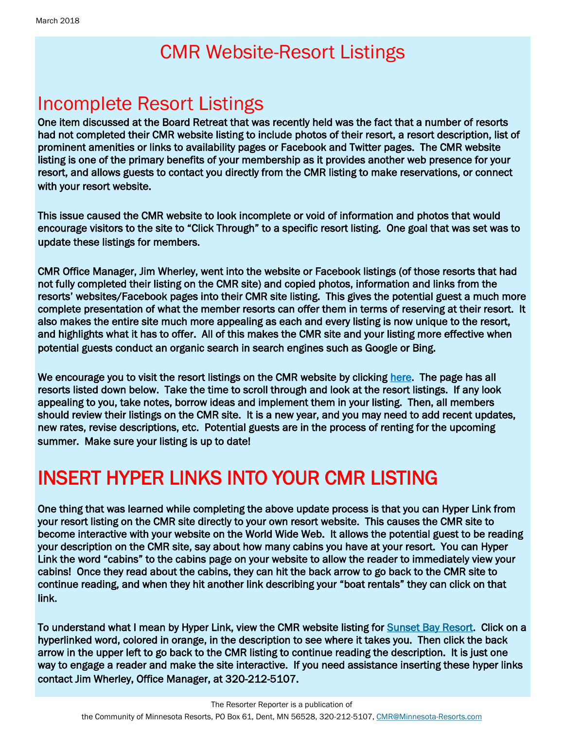### CMR Website-Resort Listings

### Incomplete Resort Listings

One item discussed at the Board Retreat that was recently held was the fact that a number of resorts had not completed their CMR website listing to include photos of their resort, a resort description, list of prominent amenities or links to availability pages or Facebook and Twitter pages. The CMR website listing is one of the primary benefits of your membership as it provides another web presence for your resort, and allows guests to contact you directly from the CMR listing to make reservations, or connect with your resort website.

This issue caused the CMR website to look incomplete or void of information and photos that would encourage visitors to the site to "Click Through" to a specific resort listing. One goal that was set was to update these listings for members.

CMR Office Manager, Jim Wherley, went into the website or Facebook listings (of those resorts that had not fully completed their listing on the CMR site) and copied photos, information and links from the resorts' websites/Facebook pages into their CMR site listing. This gives the potential guest a much more complete presentation of what the member resorts can offer them in terms of reserving at their resort. It also makes the entire site much more appealing as each and every listing is now unique to the resort, and highlights what it has to offer. All of this makes the CMR site and your listing more effective when potential guests conduct an organic search in search engines such as Google or Bing.

We encourage you to visit the resort listings on the CMR website by clicking [here.](http://minnesota-resorts.com/resorts/?title&city&lake&form2=Submit#resultarea) The page has all resorts listed down below. Take the time to scroll through and look at the resort listings. If any look appealing to you, take notes, borrow ideas and implement them in your listing. Then, all members should review their listings on the CMR site. It is a new year, and you may need to add recent updates, new rates, revise descriptions, etc. Potential guests are in the process of renting for the upcoming summer. Make sure your listing is up to date!

## INSERT HYPER LINKS INTO YOUR CMR LISTING

One thing that was learned while completing the above update process is that you can Hyper Link from your resort listing on the CMR site directly to your own resort website. This causes the CMR site to become interactive with your website on the World Wide Web. It allows the potential guest to be reading your description on the CMR site, say about how many cabins you have at your resort. You can Hyper Link the word "cabins" to the cabins page on your website to allow the reader to immediately view your cabins! Once they read about the cabins, they can hit the back arrow to go back to the CMR site to continue reading, and when they hit another link describing your "boat rentals" they can click on that link.

To understand what I mean by Hyper Link, view the CMR website listing for [Sunset Bay Resort.](http://minnesota-resorts.com/resort_listing/sunset-bay-resort/) Click on a hyperlinked word, colored in orange, in the description to see where it takes you. Then click the back arrow in the upper left to go back to the CMR listing to continue reading the description. It is just one way to engage a reader and make the site interactive. If you need assistance inserting these hyper links contact Jim Wherley, Office Manager, at 320-212-5107.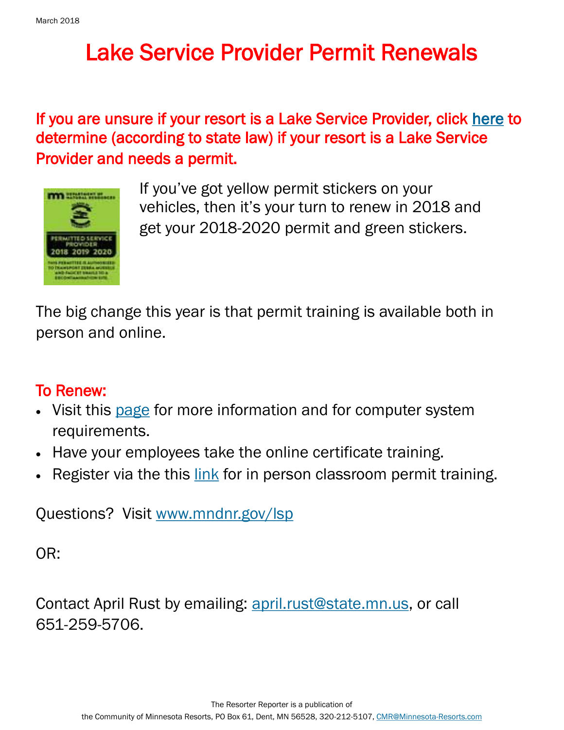## Lake Service Provider Permit Renewals

### If you are unsure if your resort is a Lake Service Provider, click [here t](http://www.dnr.state.mn.us/lsp/lsp-business.html)o determine (according to state law) if your resort is a Lake Service Provider and needs a permit.



If you've got yellow permit stickers on your vehicles, then it's your turn to renew in 2018 and get your 2018-2020 permit and green stickers.

The big change this year is that permit training is available both in person and online.

### To Renew:

- Visit this [page](http://www.dnr.state.mn.us/lsp/mandatory.html) for more information and for computer system requirements.
- Have your employees take the online certificate training.
- Register via the this [link](http://www.dnr.state.mn.us/lsp/calendar/index.html) for in person classroom permit training.

Questions? Visit [www.mndnr.gov/lsp](http://www.mndnr.gov/lsp)

OR:

Contact April Rust by emailing: [april.rust@state.mn.us,](mailto:april.rust@state.mn.us?subject=LSP%20Training) or call 651-259-5706.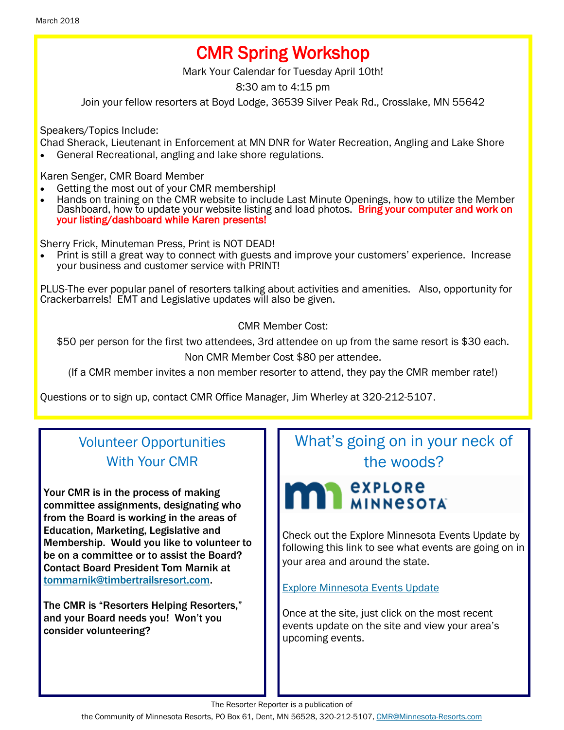### CMR Spring Workshop

Mark Your Calendar for Tuesday April 10th!

8:30 am to 4:15 pm

Join your fellow resorters at Boyd Lodge, 36539 Silver Peak Rd., Crosslake, MN 55642

Speakers/Topics Include:

Chad Sherack, Lieutenant in Enforcement at MN DNR for Water Recreation, Angling and Lake Shore

• General Recreational, angling and lake shore regulations.

Karen Senger, CMR Board Member

- Getting the most out of your CMR membership!
- Hands on training on the CMR website to include Last Minute Openings, how to utilize the Member Dashboard, how to update your website listing and load photos. Bring your computer and work on your listing/dashboard while Karen presents!

Sherry Frick, Minuteman Press, Print is NOT DEAD!

• Print is still a great way to connect with guests and improve your customers' experience. Increase your business and customer service with PRINT!

PLUS-The ever popular panel of resorters talking about activities and amenities. Also, opportunity for Crackerbarrels! EMT and Legislative updates will also be given.

CMR Member Cost:

\$50 per person for the first two attendees, 3rd attendee on up from the same resort is \$30 each.

Non CMR Member Cost \$80 per attendee.

(If a CMR member invites a non member resorter to attend, they pay the CMR member rate!)

Questions or to sign up, contact CMR Office Manager, Jim Wherley at 320-212-5107.

### Volunteer Opportunities With Your CMR

Your CMR is in the process of making committee assignments, designating who from the Board is working in the areas of Education, Marketing, Legislative and Membership. Would you like to volunteer to be on a committee or to assist the Board? Contact Board President Tom Marnik at [tommarnik@timbertrailsresort.com.](mailto:tommarnik@timbertrailsresort.com?subject=Assisting%20on%20a%20Board%20Committee)

The CMR is "Resorters Helping Resorters," and your Board needs you! Won't you consider volunteering?

### What's going on in your neck of the woods?

## **EXPLORE EXPLORE**<br>MINNESOTA

Check out the Explore Minnesota Events Update by following this link to see what events are going on in your area and around the state.

[Explore Minnesota Events Update](http://www.exploreminnesota.com/newsletter-sign-up/reports/events-report/)

Once at the site, just click on the most recent events update on the site and view your area's upcoming events.

The Resorter Reporter is a publication of